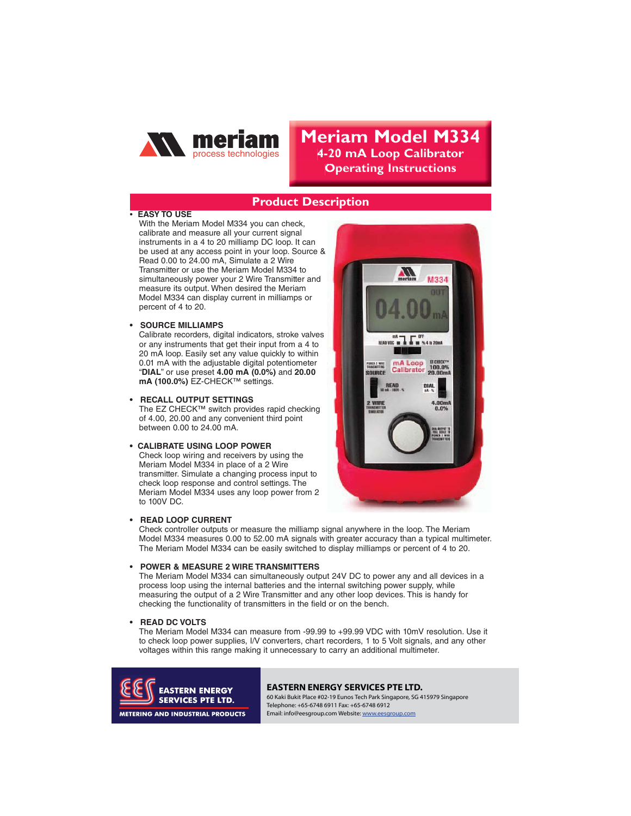

# **Meriam Model M334 4-20 mA Loop Calibrator 2DEPERVISH DEPAYABLE PROPERTY**

# **Product Description**

# **EASY TO USE**

With the Meriam Model M334 you can check, calibrate and measure all your current signal instruments in a 4 to 20 milliamp DC loop. It can be used at any access point in your loop. Source & Read 0.00 to 24.00 mA, Simulate a 2 Wire Transmitter or use the Meriam Model M334 to simultaneously power your 2 Wire Transmitter and measure its output. When desired the Meriam Model M334 can display current in milliamps or percent of 4 to 20.

**SOURCE MILLIAMPS** 

Calibrate recorders, digital indicators, stroke valves or any instruments that get their input from a 4 to 20 mA loop. Easily set any value quickly to within 0.01 mA with the adjustable digital potentiometer "**DIAL**" or use preset **4.00 mA (0.0%)** and **20.00 mA (100.0%)** EZ-CHECK™ settings.

The EZ CHECK<sup>™</sup> switch provides rapid checking of 4.00, 20.00 and any convenient third point between 0.00 to 24.00 mA.

## **CALIBRATE USING LOOP POWER**

Check loop wiring and receivers by using the Meriam Model M334 in place of a 2 Wire transmitter. Simulate a changing process input to check loop response and control settings. The Meriam Model M334 uses any loop power from 2 to 100V DC.



## **READ LOOP CURRENT**

Check controller outputs or measure the milliamp signal anywhere in the loop. The Meriam Model M334 measures 0.00 to 52.00 mA signals with greater accuracy than a typical multimeter. The Meriam Model M334 can be easily switched to display milliamps or percent of 4 to 20.

## • POWER & MEASURE 2 WIRE TRANSMITTERS

The Meriam Model M334 can simultaneously output 24V DC to power any and all devices in a process loop using the internal batteries and the internal switching power supply, while measuring the output of a 2 Wire Transmitter and any other loop devices. This is handy for checking the functionality of transmitters in the field or on the bench.

The Meriam Model M334 can measure from -99.99 to +99.99 VDC with 10mV resolution. Use it to check loop power supplies, I/V converters, chart recorders, 1 to 5 Volt signals, and any other voltages within this range making it unnecessary to carry an additional multimeter.



## **EASTERN ENERGY SERVICES PTE LTD.**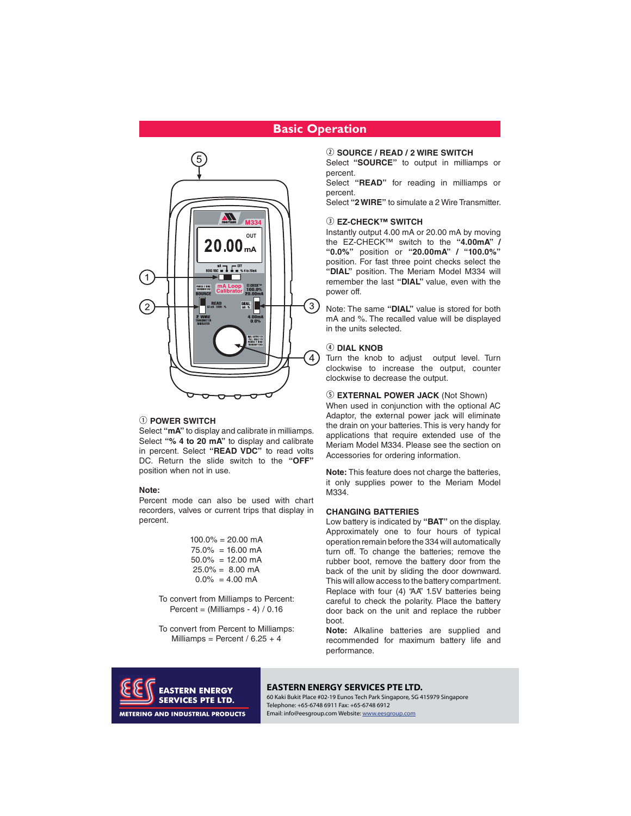# **Basic Operation**



## . **POWER SWITCH**

Select **"mA"** to display and calibrate in milliamps. Select **"% 4 to 20 mA"** to display and calibrate in percent. Select **"READ VDC"** to read volts DC. Return the slide switch to the **"OFF"** position when not in use.

### Note:

**Note:** Percent mode can also be used with chart recorders, valves or current trips that display in percent.

> $100.0\% = 20.00 \text{ mA}$  $75.0\% = 16.00 \text{ mA}$  $50.0\% = 12.00 \text{ mA}$  $25.0\% = 8.00 \text{ mA}$  $0.0\% = 4.00$  mA

- To convert from Milliamps to Percent: Percent =  $(Milliamps - 4) / 0.16$
- To convert from Percent to Milliamps: Milliamps = Percent /  $6.25 + 4$

<sup>3</sup> **SOURCE / READ / 2 WIRE SWITCH**

Select **"SOURCE"** to output in milliamps or percent.

Select **"READ"** for reading in milliamps or percent.

Select **"2 WIRE"** to simulate a 2 Wire Transmitter.

## **<b>3** EZ-CHECK™ SWITCH

Instantly output 4.00 mA or 20.00 mA by moving the EZ-CHECK™ switch to the **"4.00mA" / "0.0%"** position or **"20.00mA" / "100.0%"** position. For fast three point checks select the **"DIAL"** position. The Meriam Model M334 will remember the last **"DIAL"** value, even with the power off.

Note: The same **"DIAL"** value is stored for both mA and %. The recalled value will be displayed in the units selected.

## / **DIAL KNOB**

Turn the knob to adjust output level. Turn clockwise to increase the output, counter clockwise to decrease the output.

## <sup>1</sup> **EXTERNAL POWER JACK** (Not Shown)

When used in conjunction with the optional AC Adaptor, the external power jack will eliminate the drain on your batteries. This is very handy for applications that require extended use of the Meriam Model M334. Please see the section on Accessories for ordering information.

**Note:** This feature does not charge the batteries, it only supplies power to the Meriam Model M334.

Low battery is indicated by "**BAT**" on the display.<br>Approximately, one to four, bours, of typical Approximately one to four hours of typical operation remain before the 334 will automatically turn off. To change the batteries; remove the rubber boot, remove the battery door from the back of the unit by sliding the door downward. This will allow access to the battery compartment. Replace with four (4) "AA" 1.5V batteries being careful to check the polarity. Place the battery door back on the unit and replace the rubber boot.

**Note:** Alkaline batteries are supplied and recommended for maximum battery life and performance.



### **EASTERN ENERGY SERVICES PTE LTD.**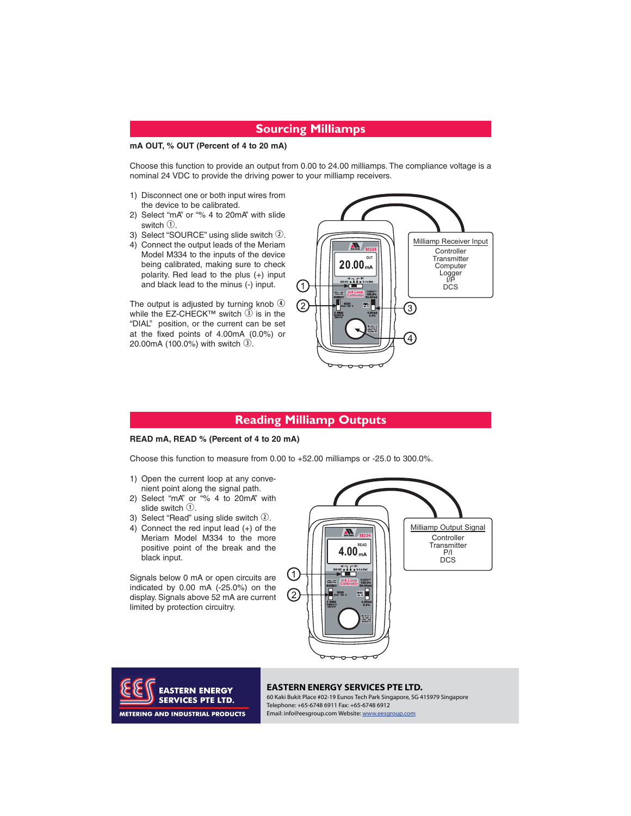# **Sourcing Milliamps**

## **mA OUT, % OUT (Percent of 4 to 20 mA)**

Choose this function to provide an output from 0.00 to 24.00 milliamps. The compliance voltage is a nominal 24 VDC to provide the driving power to your milliamp receivers.

- 1) Disconnect one or both input wires from the device to be calibrated.
- 2) Select "mA" or "% 4 to 20mA" with slide switch  $\mathcal{D}$ .
- 3) Select "SOURCE" using slide switch  $@$ .
- 4) Connect the output leads of the Meriam Model M334 to the inputs of the device being calibrated, making sure to check polarity. Red lead to the plus (+) input and black lead to the minus (-) input.

The output is adjusted by turning knob  $\Phi$ while the EZ-CHECK<sup>™</sup> switch  $\overline{3}$  is in the "DIAL" position, or the current can be set at the fixed points of 4.00mA (0.0%) or 20.00mA (100.0%) with switch  $\mathcal{D}$ .



# **Reading Milliamp Outputs**

## **READ mA, READ % (Percent of 4 to 20 mA)**

Choose this function to measure from 0.00 to +52.00 milliamps or -25.0 to 300.0%.

- 1) Open the current loop at any convenient point along the signal path.
- 2) Select "mA" or "% 4 to 20mA" with slide switch  $\mathcal{D}$ .
- 3) Select "Read" using slide switch  $(2)$ .
- 4) Connect the red input lead (+) of the Meriam Model M334 to the more positive point of the break and the black input.

Signals below 0 mA or open circuits are indicated by 0.00 mA (-25.0%) on the display. Signals above 52 mA are current limited by protection circuitry.





### **EASTERN ENERGY SERVICES PTE LTD.**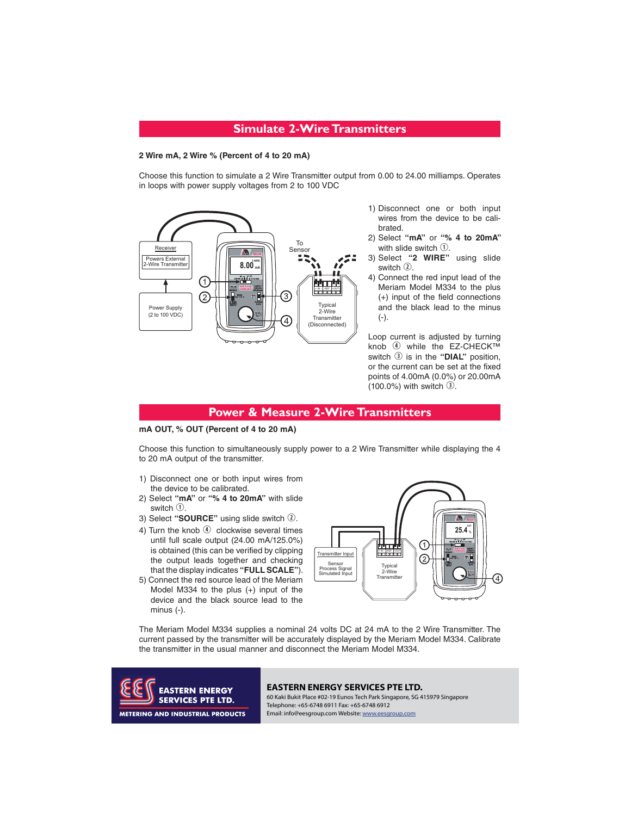## **Simulate 2-Wire Transmitters**

# **2 Wire mA, 2 Wire % (Percent of 4 to 20 mA)**

Choose this function to simulate a 2 Wire Transmitter output from 0.00 to 24.00 milliamps. Operates in loops with power supply voltages from 2 to 100 VDC



- 1) Disconnect one or both input wires from the device to be calibrated.
- 2) Select **"mA"** or **"% 4 to 20mA"**  with slide switch  $\mathcal{D}$ .
- 3) Select **"2 WIRE"** using slide switch 2.
- 4) Connect the red input lead of the Meriam Model M334 to the plus (+) input of the field connections and the black lead to the minus (-).

Loop current is adjusted by turning knob 4 while the EZ-CHECK™ switch  $\circled{3}$  is in the "DIAL" position, or the current can be set at the fixed points of 4.00mA (0.0%) or 20.00mA (100.0%) with switch  $\overline{3}$ .

# **Power & Measure 2-Wire Transmitters**

# **ma**  $\sqrt{2}$  **c**  $\sqrt{2}$  **c**  $\sqrt{2}$  **c**  $\sqrt{2}$  **c**  $\sqrt{2}$  **c**  $\sqrt{2}$  **c**  $\sqrt{2}$  **c**  $\sqrt{2}$  **c**  $\sqrt{2}$  **c**  $\sqrt{2}$  **c**  $\sqrt{2}$  **c**  $\sqrt{2}$  **c**  $\sqrt{2}$  **c**  $\sqrt{2}$  **c**  $\sqrt{2}$  **c**  $\sqrt{2}$  **c**  $\sqrt{2}$  **c**  $\sqrt{2}$  **c**

Choose this function to simultaneously supply power to a 2 Wire Transmitter while displaying the 4 to 20 mA output of the transmitter.

- 1) Disconnect one or both input wires from the device to be calibrated.
- 2) Select **"mA"** or **"% 4 to 20mA"** with slide switch  $\odot$ .
- 3) Select "SOURCE" using slide switch 2.
- 4) Turn the knob  $\Phi$  clockwise several times until full scale output (24.00 mA/125.0%) is obtained (this can be verified by clipping the output leads together and checking that the display indicates **"FULL SCALE"**).
- 5) Connect the red source lead of the Meriam Model M334 to the plus (+) input of the device and the black source lead to the minus (-).



The Meriam Model M334 supplies a nominal 24 volts DC at 24 mA to the 2 Wire Transmitter. The current passed by the transmitter will be accurately displayed by the Meriam Model M334. Calibrate the transmitter in the usual manner and disconnect the Meriam Model M334.



# **EASTERN ENERGY EASTERN ENERGY SERVICES PTE LTD.**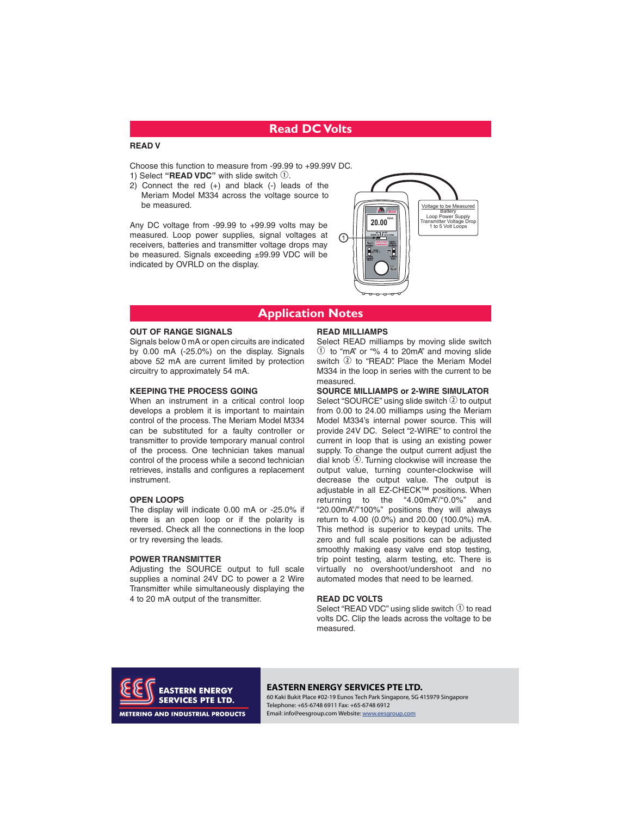# **Read DC Volts**

Choose this function to measure from -99.99 to +99.99V DC. 1) Select "READ VDC" with slide switch  $\textcircled{1}.$ 

2) Connect the red (+) and black (-) leads of the Meriam Model M334 across the voltage source to be measured.

Any DC voltage from -99.99 to +99.99 volts may be measured. Loop power supplies, signal voltages at receivers, batteries and transmitter voltage drops may be measured. Signals exceeding ±99.99 VDC will be indicated by OVRLD on the display.



# **Application Notes**

## **OUT OF RANGE SIGNALS**

Signals below 0 mA or open circuits are indicated by 0.00 mA (-25.0%) on the display. Signals above 52 mA are current limited by protection circuitry to approximately 54 mA.

When an instrument in a critical control loop develops a problem it is important to maintain control of the process. The Meriam Model M334 can be substituted for a faulty controller or transmitter to provide temporary manual control of the process. One technician takes manual control of the process while a second technician retrieves, installs and configures a replacement instrument.

The display will indicate 0.00 mA or -25.0% if there is an open loop or if the polarity is reversed. Check all the connections in the loop or try reversing the leads.

Adjusting the SOURCE output to full scale supplies a nominal 24V DC to power a 2 Wire Transmitter while simultaneously displaying the 4 to 20 mA output of the transmitter.

## **READ MILLIAMPS**

Select READ milliamps by moving slide switch  $\odot$  to "mA" or "% 4 to 20mA" and moving slide switch  $@$  to "READ". Place the Meriam Model M334 in the loop in series with the current to be measured.

Select "SOURCE" using slide switch <sup>2</sup> to output from 0.00 to 24.00 milliamps using the Meriam Model M334's internal power source. This will provide 24V DC. Select "2-WIRE" to control the current in loop that is using an existing power supply. To change the output current adjust the dial knob  $\Phi$ . Turning clockwise will increase the output value, turning counter-clockwise will decrease the output value. The output is adjustable in all EZ-CHECK™ positions. When returning to the "4.00mA"/"0.0%" and "20.00mA"/"100%" positions they will always return to 4.00 (0.0%) and 20.00 (100.0%) mA. This method is superior to keypad units. The zero and full scale positions can be adjusted smoothly making easy valve end stop testing, trip point testing, alarm testing, etc. There is virtually no overshoot/undershoot and no automated modes that need to be learned.

Select "READ VDC" using slide switch  $\overline{0}$  to read volts DC. Clip the leads across the voltage to be measured.



## 0HULDP3URFHVV7HFKQRORJLHV **EASTERN ENERGY EASTERN ENERGY SERVICES PTE LTD.**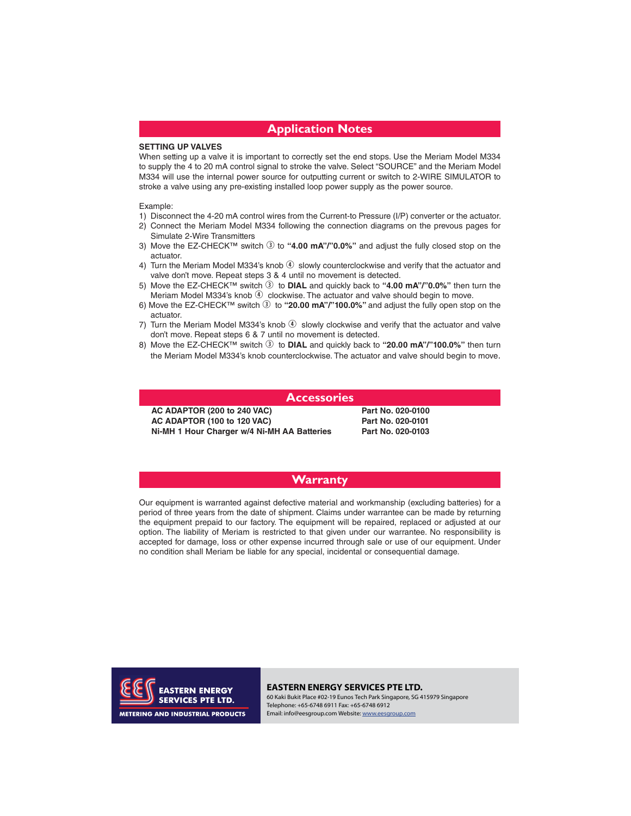# **Application Notes**

**SETTING UP VALVES** When setting up a valve it is important to correctly set the end stops. Use the Meriam Model M334 to supply the 4 to 20 mA control signal to stroke the valve. Select "SOURCE" and the Meriam Model M334 will use the internal power source for outputting current or switch to 2-WIRE SIMULATOR to stroke a valve using any pre-existing installed loop power supply as the power source.

## Example:

- 1) Disconnect the 4-20 mA control wires from the Current-to Pressure (I/P) converter or the actuator.
- 2) Connect the Meriam Model M334 following the connection diagrams on the prevous pages for Simulate 2-Wire Transmitters
- 3) Move the EZ-CHECK<sup>™</sup> switch 3 to "4.00 mA"/"0.0%" and adjust the fully closed stop on the actuator.
- 4) Turn the Meriam Model M334's knob  $\circledast$  slowly counterclockwise and verify that the actuator and valve don't move. Repeat steps 3 & 4 until no movement is detected.
- 5) Move the EZ-CHECK™ switch \$to **DIAL** and quickly back to **"4.00 mA"/"0.0%"** then turn the Meriam Model M334's knob  $\Phi$  clockwise. The actuator and valve should begin to move.
- 6) Move the EZ-CHECK™ switch \$to **"20.00 mA"/"100.0%"** and adjust the fully open stop on the actuator.
- 7) Turn the Meriam Model M334's knob  $\overline{4}$  slowly clockwise and verify that the actuator and valve don't move. Repeat steps 6 & 7 until no movement is detected.
- 8) Move the EZ-CHECK™ switch \$to **DIAL** and quickly back to **"20.00 mA"/"100.0%"** then turn the Meriam Model M334's knob counterclockwise. The actuator and valve should begin to move.

## **Accessories**

**AC ADAPTOR (200 to 240 VAC) Part No. 020-0100 ACTES 100 YEAR OF LIGHT ACTES IN A PARTIES AND ACT ADAPTABLE INC.** 020-0103 **Ni-MH 1 Hour Charger w/4 Ni-MH AA Batteries Part No. 020-0103**

Part No. 020-0100

# **Warranty**

Our equipment is warranted against defective material and workmanship (excluding batteries) for a period of three years from the date of shipment. Claims under warrantee can be made by returning the equipment prepaid to our factory. The equipment will be repaired, replaced or adjusted at our option. The liability of Meriam is restricted to that given under our warrantee. No responsibility is accepted for damage, loss or other expense incurred through sale or use of our equipment. Under no condition shall Meriam be liable for any special, incidental or consequential damage.



### EASTERN ENERGY SERVICES PTE LTD.

**EASTERN ENERGY EASTERN ENERGY SERVICES PTE LTD.**<br>**SERVICES PTE LTD.** 60 Kaki Bukit Place #02-19 Eunos Tech Park Singapore, SG 415979 Singapore Telephone: +65-6748 6911 Fax: +65-6748 6912 Email: info@eesgroup.com Website: www.eesgroup.com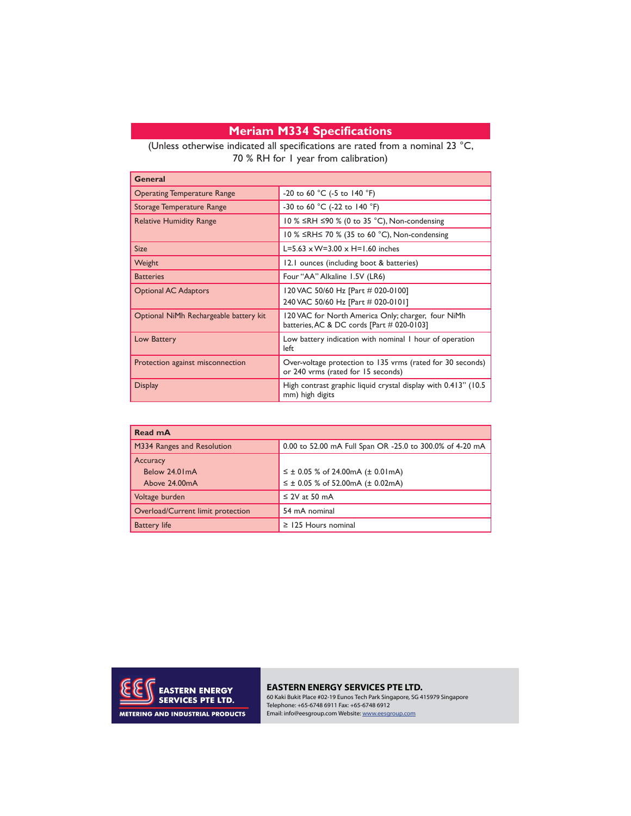# **Meriam M334 Specifications**

(Unless otherwise indicated all specifications are rated from a nominal 23 °C, 70 % RH for 1 year from calibration)

| General                                |                                                                                                  |
|----------------------------------------|--------------------------------------------------------------------------------------------------|
| <b>Operating Temperature Range</b>     | -20 to 60 °C (-5 to 140 °F)                                                                      |
| Storage Temperature Range              | -30 to 60 °C (-22 to 140 °F)                                                                     |
| <b>Relative Humidity Range</b>         | 10 % ≤RH ≤90 % (0 to 35 °C), Non-condensing                                                      |
|                                        | 10 % ≤RH≤ 70 % (35 to 60 °C), Non-condensing                                                     |
| <b>Size</b>                            | L=5.63 $\times$ W=3.00 $\times$ H=1.60 inches                                                    |
| Weight                                 | 12.1 ounces (including boot & batteries)                                                         |
| <b>Batteries</b>                       | Four "AA" Alkaline 1.5V (LR6)                                                                    |
| <b>Optional AC Adaptors</b>            | 120 VAC 50/60 Hz [Part # 020-0100]<br>240 VAC 50/60 Hz [Part # 020-0101]                         |
| Optional NiMh Rechargeable battery kit | 120 VAC for North America Only; charger, four NiMh<br>batteries, AC & DC cords [Part # 020-0103] |
| Low Battery                            | Low battery indication with nominal I hour of operation<br>left                                  |
| Protection against misconnection       | Over-voltage protection to 135 vrms (rated for 30 seconds)<br>or 240 vrms (rated for 15 seconds) |
| <b>Display</b>                         | High contrast graphic liquid crystal display with 0.413" (10.5)<br>mm) high digits               |

| Read mA                                    |                                                                                                |
|--------------------------------------------|------------------------------------------------------------------------------------------------|
| M334 Ranges and Resolution                 | 0.00 to 52.00 mA Full Span OR -25.0 to 300.0% of 4-20 mA                                       |
| Accuracy<br>Below 24.01mA<br>Above 24.00mA | $\leq \pm 0.05$ % of 24.00mA ( $\pm 0.01$ mA)<br>$\leq \pm 0.05$ % of 52.00mA ( $\pm 0.02$ mA) |
| Voltage burden                             | $\leq$ 2V at 50 mA                                                                             |
| Overload/Current limit protection          | 54 mA nominal                                                                                  |
| <b>Battery life</b>                        | $\ge$ 125 Hours nominal                                                                        |



**EASTERN ENERGY SERVICES PTE LTD.**